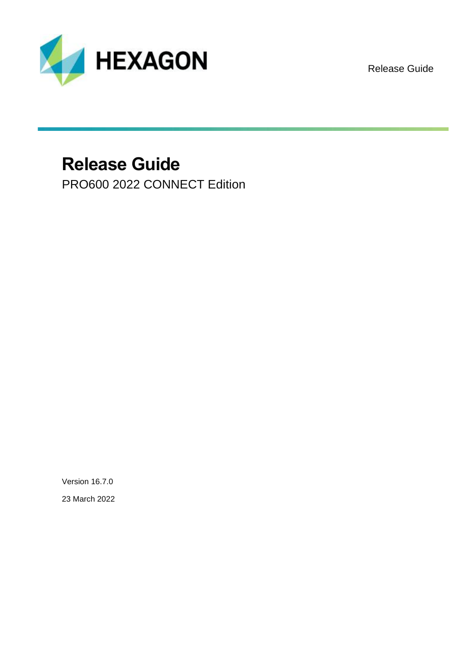

Release Guide

# **Release Guide**

PRO600 2022 CONNECT Edition

Version 16.7.0 23 March 2022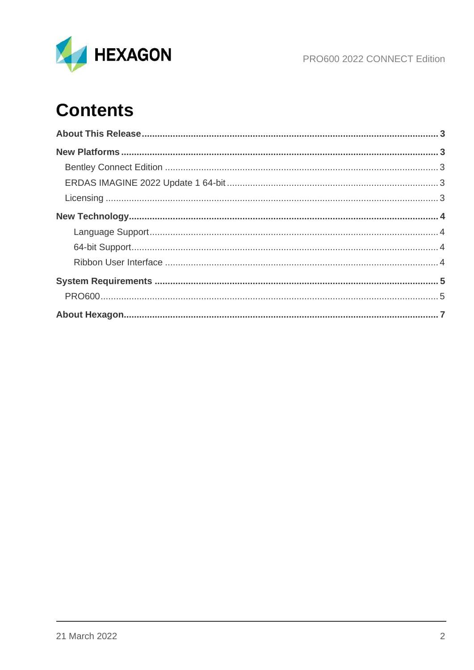

PRO600 2022 CONNECT Edition

# **Contents**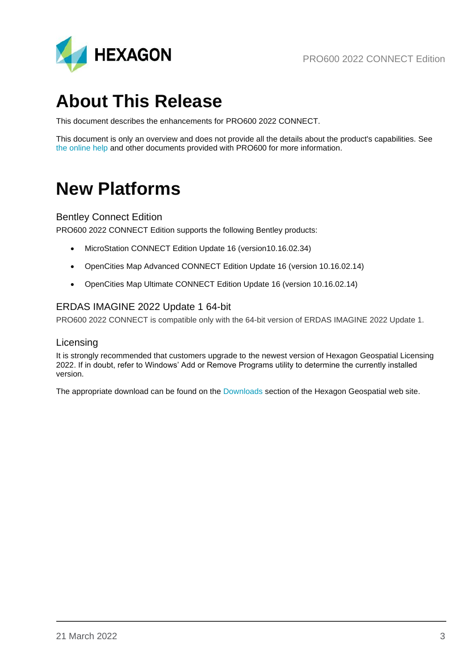

# <span id="page-2-0"></span>**About This Release**

This document describes the enhancements for PRO600 2022 CONNECT.

This document is only an overview and does not provide all the details about the product's capabilities. See [the online help](https://doc.hexagongeospatial.com/) and other documents provided with PRO600 for more information.

## <span id="page-2-1"></span>**New Platforms**

#### <span id="page-2-2"></span>Bentley Connect Edition

PRO600 2022 CONNECT Edition supports the following Bentley products:

- MicroStation CONNECT Edition Update 16 (version10.16.02.34)
- OpenCities Map Advanced CONNECT Edition Update 16 (version 10.16.02.14)
- OpenCities Map Ultimate CONNECT Edition Update 16 (version 10.16.02.14)

### <span id="page-2-3"></span>ERDAS IMAGINE 2022 Update 1 64-bit

<span id="page-2-4"></span>PRO600 2022 CONNECT is compatible only with the 64-bit version of ERDAS IMAGINE 2022 Update 1.

#### Licensing

It is strongly recommended that customers upgrade to the newest version of Hexagon Geospatial Licensing 2022. If in doubt, refer to Windows' Add or Remove Programs utility to determine the currently installed version.

The appropriate download can be found on the [Downloads](https://download.hexagongeospatial.com/search?lang=en&product=b3b4786d3d4742ae8d1e7aeee50dae69) section of the Hexagon Geospatial web site.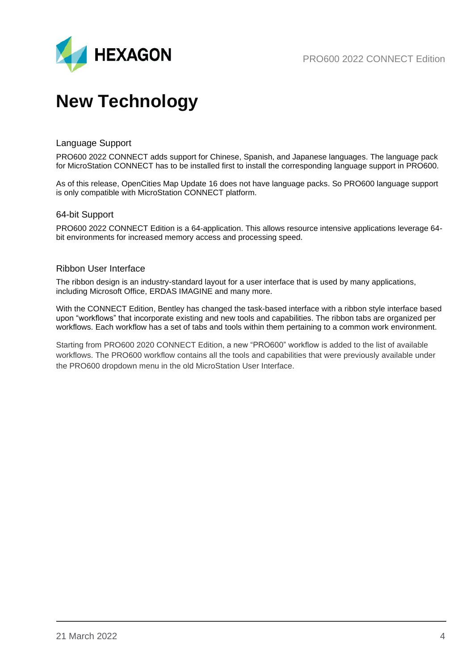

# <span id="page-3-0"></span>**New Technology**

#### <span id="page-3-1"></span>Language Support

PRO600 2022 CONNECT adds support for Chinese, Spanish, and Japanese languages. The language pack for MicroStation CONNECT has to be installed first to install the corresponding language support in PRO600.

As of this release, OpenCities Map Update 16 does not have language packs. So PRO600 language support is only compatible with MicroStation CONNECT platform.

#### <span id="page-3-2"></span>64-bit Support

PRO600 2022 CONNECT Edition is a 64-application. This allows resource intensive applications leverage 64 bit environments for increased memory access and processing speed.

#### <span id="page-3-3"></span>Ribbon User Interface

The ribbon design is an industry-standard layout for a user interface that is used by many applications, including Microsoft Office, ERDAS IMAGINE and many more.

With the CONNECT Edition, Bentley has changed the task-based interface with a ribbon style interface based upon "workflows" that incorporate existing and new tools and capabilities. The ribbon tabs are organized per workflows. Each workflow has a set of tabs and tools within them pertaining to a common work environment.

Starting from PRO600 2020 CONNECT Edition, a new "PRO600" workflow is added to the list of available workflows. The PRO600 workflow contains all the tools and capabilities that were previously available under the PRO600 dropdown menu in the old MicroStation User Interface.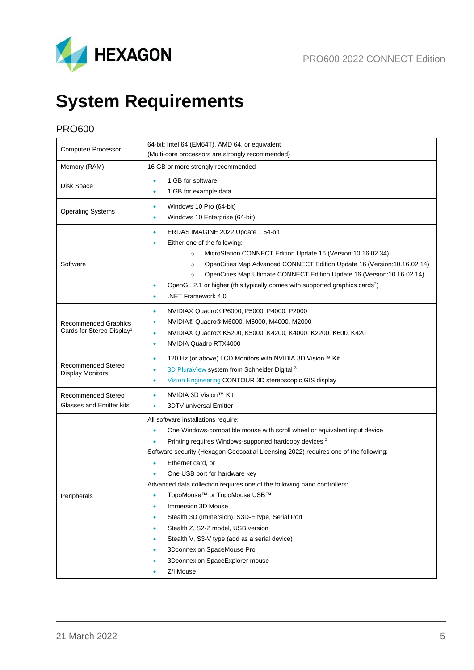

# <span id="page-4-0"></span>**System Requirements**

## <span id="page-4-1"></span>PRO600

| Computer/ Processor                                           | 64-bit: Intel 64 (EM64T), AMD 64, or equivalent<br>(Multi-core processors are strongly recommended)                                                                                                                                                                                                                                                                                                                                                                                                                                                                                                                                                                                                                                 |
|---------------------------------------------------------------|-------------------------------------------------------------------------------------------------------------------------------------------------------------------------------------------------------------------------------------------------------------------------------------------------------------------------------------------------------------------------------------------------------------------------------------------------------------------------------------------------------------------------------------------------------------------------------------------------------------------------------------------------------------------------------------------------------------------------------------|
| Memory (RAM)                                                  | 16 GB or more strongly recommended                                                                                                                                                                                                                                                                                                                                                                                                                                                                                                                                                                                                                                                                                                  |
| Disk Space                                                    | 1 GB for software<br>$\bullet$<br>1 GB for example data<br>٠                                                                                                                                                                                                                                                                                                                                                                                                                                                                                                                                                                                                                                                                        |
| <b>Operating Systems</b>                                      | Windows 10 Pro (64-bit)<br>۰<br>Windows 10 Enterprise (64-bit)<br>۰                                                                                                                                                                                                                                                                                                                                                                                                                                                                                                                                                                                                                                                                 |
| Software                                                      | ERDAS IMAGINE 2022 Update 1 64-bit<br>۰<br>Either one of the following:<br>MicroStation CONNECT Edition Update 16 (Version:10.16.02.34)<br>$\circ$<br>OpenCities Map Advanced CONNECT Edition Update 16 (Version: 10.16.02.14)<br>$\circ$<br>OpenCities Map Ultimate CONNECT Edition Update 16 (Version: 10.16.02.14)<br>$\circ$<br>OpenGL 2.1 or higher (this typically comes with supported graphics cards <sup>2</sup> )<br>.NET Framework 4.0<br>٠                                                                                                                                                                                                                                                                              |
| Recommended Graphics<br>Cards for Stereo Display <sup>1</sup> | NVIDIA® Quadro® P6000, P5000, P4000, P2000<br>۰<br>NVIDIA® Quadro® M6000, M5000, M4000, M2000<br>$\bullet$<br>NVIDIA® Quadro® K5200, K5000, K4200, K4000, K2200, K600, K420<br>$\bullet$<br>NVIDIA Quadro RTX4000<br>$\bullet$                                                                                                                                                                                                                                                                                                                                                                                                                                                                                                      |
| Recommended Stereo<br><b>Display Monitors</b>                 | 120 Hz (or above) LCD Monitors with NVIDIA 3D Vision™ Kit<br>$\bullet$<br>3D PluraView system from Schneider Digital <sup>3</sup><br>۰<br>Vision Engineering CONTOUR 3D stereoscopic GIS display<br>$\bullet$                                                                                                                                                                                                                                                                                                                                                                                                                                                                                                                       |
| Recommended Stereo<br><b>Glasses and Emitter kits</b>         | NVIDIA 3D Vision™ Kit<br>۰<br><b>3DTV</b> universal Emitter<br>٠                                                                                                                                                                                                                                                                                                                                                                                                                                                                                                                                                                                                                                                                    |
| Peripherals                                                   | All software installations require:<br>One Windows-compatible mouse with scroll wheel or equivalent input device<br>$\bullet$<br>Printing requires Windows-supported hardcopy devices <sup>2</sup><br>Software security (Hexagon Geospatial Licensing 2022) requires one of the following:<br>Ethernet card, or<br>۰<br>One USB port for hardware key<br>Advanced data collection requires one of the following hand controllers:<br>TopoMouse™ or TopoMouse USB™<br>Immersion 3D Mouse<br>۰<br>Stealth 3D (Immersion), S3D-E type, Serial Port<br>Stealth Z, S2-Z model, USB version<br>Stealth V, S3-V type (add as a serial device)<br>۰<br>3Dconnexion SpaceMouse Pro<br>٠<br>3Dconnexion SpaceExplorer mouse<br>Z/I Mouse<br>٠ |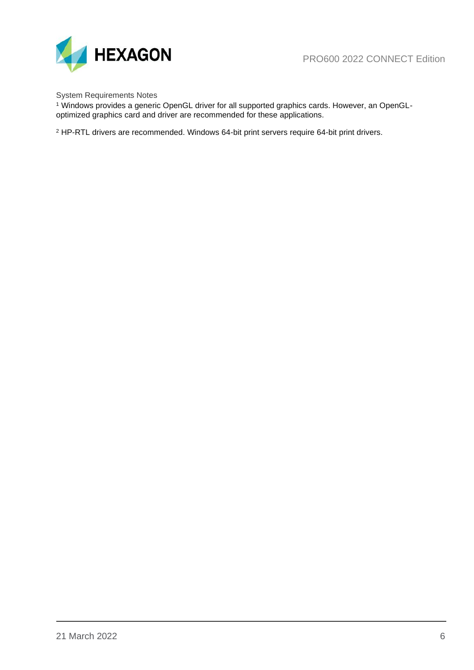



System Requirements Notes

<sup>1</sup> Windows provides a generic OpenGL driver for all supported graphics cards. However, an OpenGLoptimized graphics card and driver are recommended for these applications.

<sup>2</sup> HP-RTL drivers are recommended. Windows 64-bit print servers require 64-bit print drivers.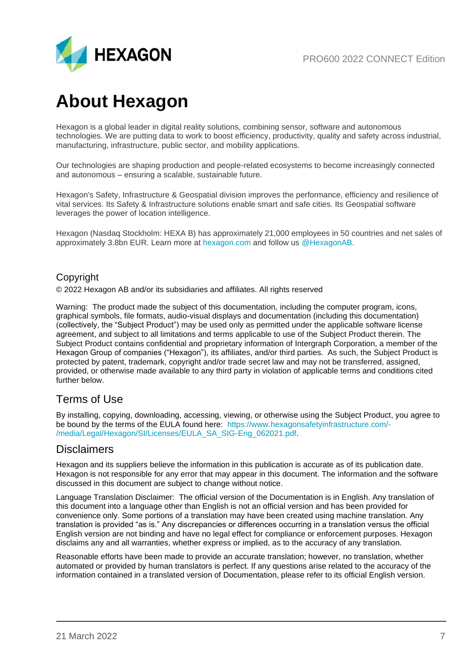

# <span id="page-6-0"></span>**About Hexagon**

Hexagon is a global leader in digital reality solutions, combining sensor, software and autonomous technologies. We are putting data to work to boost efficiency, productivity, quality and safety across industrial, manufacturing, infrastructure, public sector, and mobility applications.

Our technologies are shaping production and people-related ecosystems to become increasingly connected and autonomous – ensuring a scalable, sustainable future.

Hexagon's Safety, Infrastructure & Geospatial division improves the performance, efficiency and resilience of vital services. Its Safety & Infrastructure solutions enable smart and safe cities. Its Geospatial software leverages the power of location intelligence.

Hexagon (Nasdaq Stockholm: HEXA B) has approximately 21,000 employees in 50 countries and net sales of approximately 3.8bn EUR. Learn more at [hexagon.com](https://hexagon.com/) and follow us [@HexagonAB.](https://twitter.com/hexagonab)

### Copyright

© 2022 Hexagon AB and/or its subsidiaries and affiliates. All rights reserved

Warning: The product made the subject of this documentation, including the computer program, icons, graphical symbols, file formats, audio-visual displays and documentation (including this documentation) (collectively, the "Subject Product") may be used only as permitted under the applicable software license agreement, and subject to all limitations and terms applicable to use of the Subject Product therein. The Subject Product contains confidential and proprietary information of Intergraph Corporation, a member of the Hexagon Group of companies ("Hexagon"), its affiliates, and/or third parties. As such, the Subject Product is protected by patent, trademark, copyright and/or trade secret law and may not be transferred, assigned, provided, or otherwise made available to any third party in violation of applicable terms and conditions cited further below.

## Terms of Use

By installing, copying, downloading, accessing, viewing, or otherwise using the Subject Product, you agree to be bound by the terms of the EULA found here: [https://www.hexagonsafetyinfrastructure.com/-](https://www.hexagonsafetyinfrastructure.com/-/media/Legal/Hexagon/SI/Licenses/EULA_SA_SIG-Eng_062021.pdf) [/media/Legal/Hexagon/SI/Licenses/EULA\\_SA\\_SIG-Eng\\_062021.pdf.](https://www.hexagonsafetyinfrastructure.com/-/media/Legal/Hexagon/SI/Licenses/EULA_SA_SIG-Eng_062021.pdf)

### **Disclaimers**

Hexagon and its suppliers believe the information in this publication is accurate as of its publication date. Hexagon is not responsible for any error that may appear in this document. The information and the software discussed in this document are subject to change without notice.

Language Translation Disclaimer: The official version of the Documentation is in English. Any translation of this document into a language other than English is not an official version and has been provided for convenience only. Some portions of a translation may have been created using machine translation. Any translation is provided "as is." Any discrepancies or differences occurring in a translation versus the official English version are not binding and have no legal effect for compliance or enforcement purposes. Hexagon disclaims any and all warranties, whether express or implied, as to the accuracy of any translation.

Reasonable efforts have been made to provide an accurate translation; however, no translation, whether automated or provided by human translators is perfect. If any questions arise related to the accuracy of the information contained in a translated version of Documentation, please refer to its official English version.